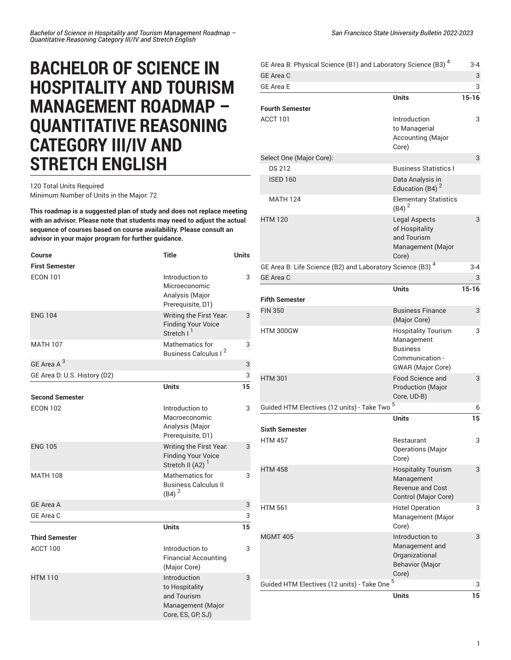## **BACHELOR OF SCIENCE IN HOSPITALITY AND TOURISM MANAGEMENT ROADMAP – QUANTITATIVE REASONING CATEGORY III/IV AND STRETCH ENGLISH**

## 120 Total Units Required Minimum Number of Units in the Major: 72

**This roadmap is a suggested plan of study and does not replace meeting with an advisor. Please note that students may need to adjust the actual sequence of courses based on course availability. Please consult an advisor in your major program for further guidance.**

| <b>Course</b>                | <b>Title</b>                                                                            | <b>Units</b> |
|------------------------------|-----------------------------------------------------------------------------------------|--------------|
| <b>First Semester</b>        |                                                                                         |              |
| <b>ECON 101</b>              | Introduction to<br>Microeconomic<br>Analysis (Major<br>Prerequisite, D1)                | 3            |
| <b>ENG 104</b>               | Writing the First Year.<br><b>Finding Your Voice</b><br>Stretch I <sup>1</sup>          | 3            |
| <b>MATH 107</b>              | Mathematics for<br>Business Calculus I <sup>2</sup>                                     | 3            |
| GE Area A <sup>3</sup>       |                                                                                         | 3            |
| GE Area D: U.S. History (D2) |                                                                                         | 3            |
|                              | <b>Units</b>                                                                            | 15           |
| <b>Second Semester</b>       |                                                                                         |              |
| <b>ECON 102</b>              | Introduction to<br>Macroeconomic<br>Analysis (Major                                     | 3            |
|                              | Prerequisite, D1)                                                                       |              |
| <b>ENG 105</b>               | Writing the First Year.<br><b>Finding Your Voice</b><br>Stretch II (A2) <sup>1</sup>    | 3            |
| <b>MATH 108</b>              | Mathematics for<br><b>Business Calculus II</b><br>$(B4)^2$                              | 3            |
| <b>GE Area A</b>             |                                                                                         | 3            |
| GE Area C                    |                                                                                         | 3            |
|                              | <b>Units</b>                                                                            | 15           |
| <b>Third Semester</b>        |                                                                                         |              |
| ACCT 100                     | Introduction to<br><b>Financial Accounting</b><br>(Major Core)                          | 3            |
| <b>HTM 110</b>               | Introduction<br>to Hospitality<br>and Tourism<br>Management (Major<br>Core, ES, GP, SJ) | 3            |

| GE Area B: Physical Science (B1) and Laboratory Science (B3) <sup>4</sup> |                                                                                                            | 3-4       |
|---------------------------------------------------------------------------|------------------------------------------------------------------------------------------------------------|-----------|
| <b>GE Area C</b>                                                          |                                                                                                            | 3         |
| <b>GE Area E</b>                                                          |                                                                                                            | 3         |
|                                                                           | <b>Units</b>                                                                                               | $15 - 16$ |
| <b>Fourth Semester</b><br>ACCT 101                                        | Introduction<br>to Managerial<br>Accounting (Major<br>Core)                                                | 3         |
| Select One (Major Core):                                                  |                                                                                                            | 3         |
| <b>DS 212</b>                                                             | <b>Business Statistics I</b>                                                                               |           |
| <b>ISED 160</b>                                                           | Data Analysis in<br>Education (B4) $2$                                                                     |           |
| <b>MATH 124</b>                                                           | <b>Elementary Statistics</b><br>$(B4)^2$                                                                   |           |
| <b>HTM 120</b>                                                            | <b>Legal Aspects</b><br>of Hospitality<br>and Tourism<br>Management (Major<br>Core)                        | 3         |
| GE Area B: Life Science (B2) and Laboratory Science (B3) <sup>4</sup>     |                                                                                                            | $3 - 4$   |
| <b>GE Area C</b>                                                          |                                                                                                            | 3         |
|                                                                           | <b>Units</b>                                                                                               | $15 - 16$ |
| <b>Fifth Semester</b>                                                     |                                                                                                            |           |
| <b>FIN 350</b>                                                            | <b>Business Finance</b><br>(Major Core)                                                                    | 3         |
| HTM 300GW                                                                 | <b>Hospitality Tourism</b><br>Management<br><b>Business</b><br>Communication -<br><b>GWAR</b> (Major Core) | 3         |
| <b>HTM 301</b>                                                            | <b>Food Science and</b><br><b>Production (Major</b><br>Core, UD-B)                                         | 3         |
| Guided HTM Electives (12 units) - Take Two <sup>5</sup>                   |                                                                                                            | 6         |
|                                                                           | <b>Units</b>                                                                                               | 15        |
| <b>Sixth Semester</b>                                                     |                                                                                                            |           |
| <b>HTM 457</b>                                                            | Restaurant<br><b>Operations</b> (Major<br>Core)                                                            | 3         |
| <b>HTM 458</b>                                                            | <b>Hospitality Tourism</b><br>Management<br><b>Revenue and Cost</b><br>Control (Major Core)                | 3         |
| <b>HTM 561</b>                                                            | <b>Hotel Operation</b><br>Management (Major<br>Core)                                                       | 3         |
| <b>MGMT 405</b>                                                           | Introduction to<br>Management and<br>Organizational<br><b>Behavior (Major</b><br>Core)                     | 3         |
| Guided HTM Electives (12 units) - Take One <sup>5</sup>                   |                                                                                                            |           |
|                                                                           | <b>Units</b>                                                                                               | 15        |